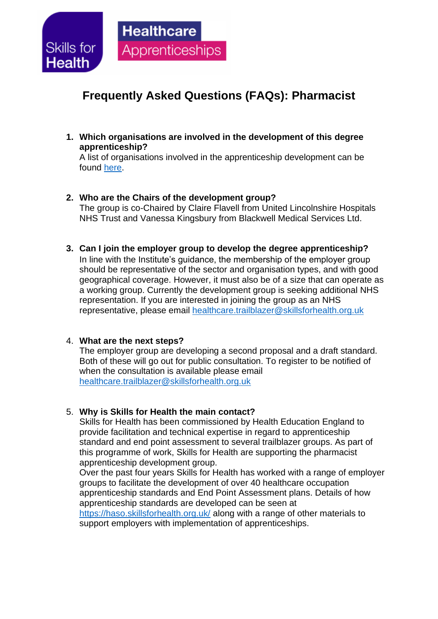

# **Frequently Asked Questions (FAQs): Pharmacist**

**1. Which organisations are involved in the development of this degree apprenticeship?**

A list of organisations involved in the apprenticeship development can be found [here.](http://haso.skillsforhealth.org.uk/wp-content/uploads/2019/10/2019.10.31-L7-Pharmacist-ST0702-List-of-OI.pdf)

- **2. Who are the Chairs of the development group?** The group is co-Chaired by Claire Flavell from United Lincolnshire Hospitals NHS Trust and Vanessa Kingsbury from Blackwell Medical Services Ltd.
- **3. Can I join the employer group to develop the degree apprenticeship?** In line with the Institute's guidance, the membership of the employer group should be representative of the sector and organisation types, and with good geographical coverage. However, it must also be of a size that can operate as a working group. Currently the development group is seeking additional NHS representation. If you are interested in joining the group as an NHS representative, please email [healthcare.trailblazer@skillsforhealth.org.uk](mailto:healthcare.trailblazer@skillsforhealth.org.uk)

### 4. **What are the next steps?**

The employer group are developing a second proposal and a draft standard. Both of these will go out for public consultation. To register to be notified of when the consultation is available please email [healthcare.trailblazer@skillsforhealth.org.uk](mailto:healthcare.trailblazer@skillsforhealth.org.uk)

### 5. **Why is Skills for Health the main contact?**

Skills for Health has been commissioned by Health Education England to provide facilitation and technical expertise in regard to apprenticeship standard and end point assessment to several trailblazer groups. As part of this programme of work, Skills for Health are supporting the pharmacist apprenticeship development group.

Over the past four years Skills for Health has worked with a range of employer groups to facilitate the development of over 40 healthcare occupation apprenticeship standards and End Point Assessment plans. Details of how apprenticeship standards are developed can be seen at

<https://haso.skillsforhealth.org.uk/> along with a range of other materials to support employers with implementation of apprenticeships.